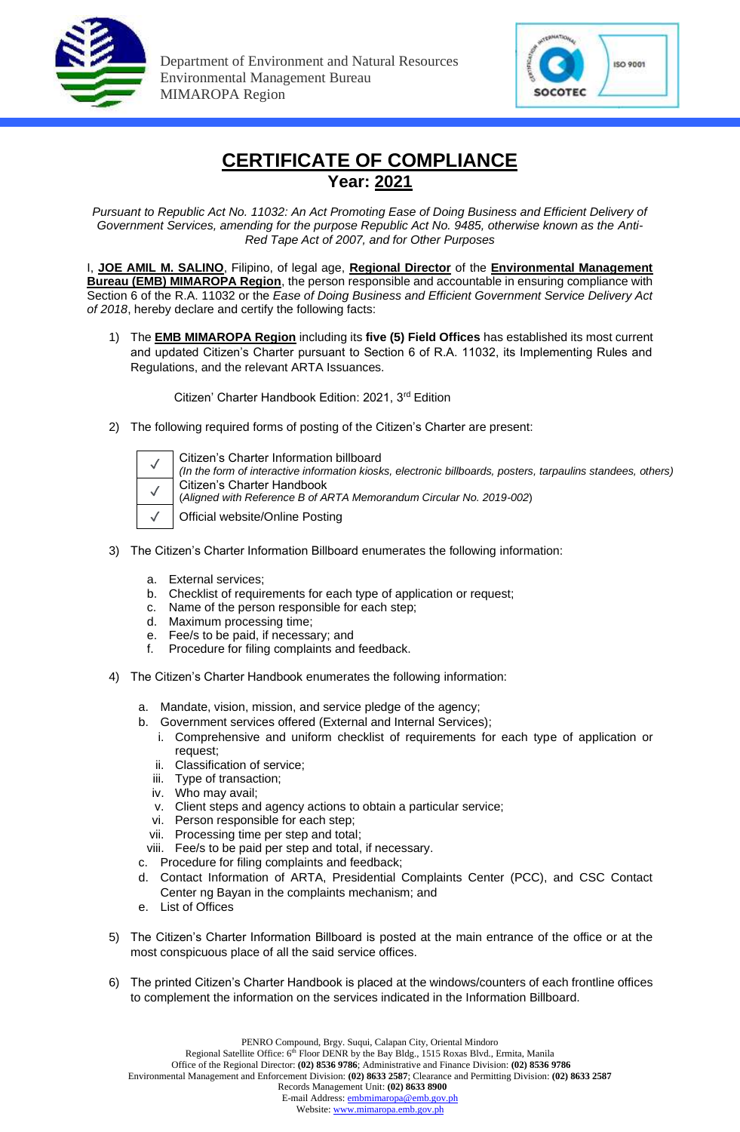



## **CERTIFICATE OF COMPLIANCE Year: 2021**

*Pursuant to Republic Act No. 11032: An Act Promoting Ease of Doing Business and Efficient Delivery of Government Services, amending for the purpose Republic Act No. 9485, otherwise known as the Anti-Red Tape Act of 2007, and for Other Purposes*

I, **JOE AMIL M. SALINO**, Filipino, of legal age, **Regional Director** of the **Environmental Management Bureau (EMB) MIMAROPA Region**, the person responsible and accountable in ensuring compliance with Section 6 of the R.A. 11032 or the *Ease of Doing Business and Efficient Government Service Delivery Act of 2018*, hereby declare and certify the following facts:

1) The **EMB MIMAROPA Region** including its **five (5) Field Offices** has established its most current and updated Citizen's Charter pursuant to Section 6 of R.A. 11032, its Implementing Rules and Regulations, and the relevant ARTA Issuances.

Citizen' Charter Handbook Edition: 2021, 3rd Edition

2) The following required forms of posting of the Citizen's Charter are present:

|  | Ι |
|--|---|
|  | í |
|  |   |

Citizen's Charter Information billboard *(In the form of interactive information kiosks, electronic billboards, posters, tarpaulins standees, others)* Citizen's Charter Handbook (*Aligned with Reference B of ARTA Memorandum Circular No. 2019-002*)

Official website/Online Posting

- 3) The Citizen's Charter Information Billboard enumerates the following information:
	- a. External services;
	- b. Checklist of requirements for each type of application or request;
	- c. Name of the person responsible for each step;
	- d. Maximum processing time;
	- e. Fee/s to be paid, if necessary; and
	- f. Procedure for filing complaints and feedback.
- 4) The Citizen's Charter Handbook enumerates the following information:
	- a. Mandate, vision, mission, and service pledge of the agency;
	- b. Government services offered (External and Internal Services);
		- i. Comprehensive and uniform checklist of requirements for each type of application or request;
		- ii. Classification of service;
		- iii. Type of transaction;
		- iv. Who may avail;
		- v. Client steps and agency actions to obtain a particular service;
		- vi. Person responsible for each step;
		- vii. Processing time per step and total;
	- viii. Fee/s to be paid per step and total, if necessary.
	- c. Procedure for filing complaints and feedback;
	- d. Contact Information of ARTA, Presidential Complaints Center (PCC), and CSC Contact Center ng Bayan in the complaints mechanism; and
	- e. List of Offices
- 5) The Citizen's Charter Information Billboard is posted at the main entrance of the office or at the most conspicuous place of all the said service offices.
- 6) The printed Citizen's Charter Handbook is placed at the windows/counters of each frontline offices to complement the information on the services indicated in the Information Billboard.